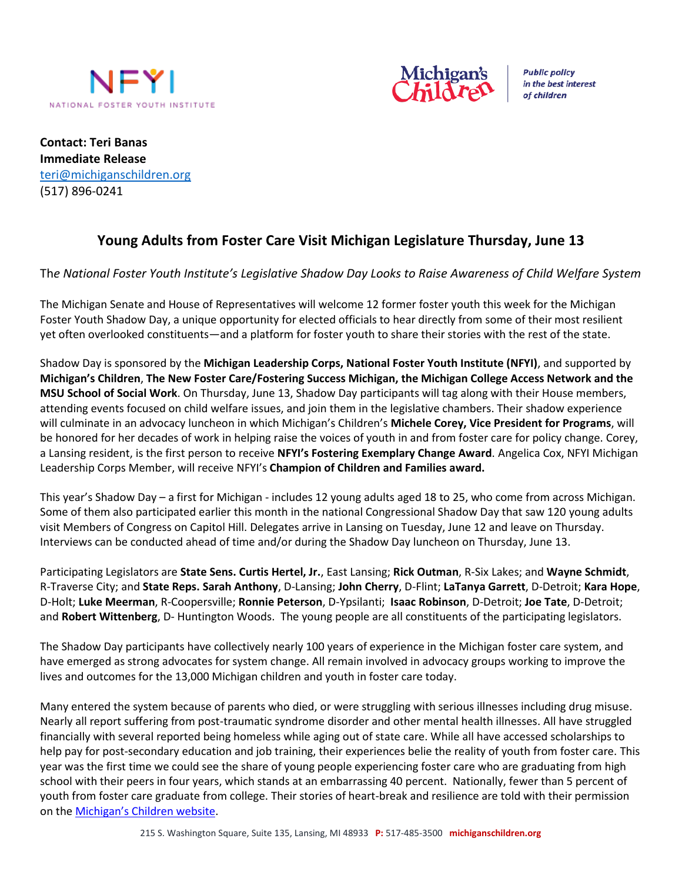



**Public policy** in the best interest of children

**Contact: Teri Banas Immediate Release** [teri@michiganschildren.](mailto:mariah.craven@nfyi.org)org (517) 896-0241

# **Young Adults from Foster Care Visit Michigan Legislature Thursday, June 13**

## Th*e National Foster Youth Institute's Legislative Shadow Day Looks to Raise Awareness of Child Welfare System*

The Michigan Senate and House of Representatives will welcome 12 former foster youth this week for the Michigan Foster Youth Shadow Day, a unique opportunity for elected officials to hear directly from some of their most resilient yet often overlooked constituents—and a platform for foster youth to share their stories with the rest of the state.

Shadow Day is sponsored by the **Michigan Leadership Corps, National Foster Youth Institute (NFYI)**, and supported by **Michigan's Children**, **The New Foster Care/Fostering Success Michigan, the Michigan College Access Network and the MSU School of Social Work**. On Thursday, June 13, Shadow Day participants will tag along with their House members, attending events focused on child welfare issues, and join them in the legislative chambers. Their shadow experience will culminate in an advocacy luncheon in which Michigan's Children's **Michele Corey, Vice President for Programs**, will be honored for her decades of work in helping raise the voices of youth in and from foster care for policy change. Corey, a Lansing resident, is the first person to receive **NFYI's Fostering Exemplary Change Award**. Angelica Cox, NFYI Michigan Leadership Corps Member, will receive NFYI's **Champion of Children and Families award.**

This year's Shadow Day – a first for Michigan - includes 12 young adults aged 18 to 25, who come from across Michigan. Some of them also participated earlier this month in the national Congressional Shadow Day that saw 120 young adults visit Members of Congress on Capitol Hill. Delegates arrive in Lansing on Tuesday, June 12 and leave on Thursday. Interviews can be conducted ahead of time and/or during the Shadow Day luncheon on Thursday, June 13.

Participating Legislators are **State Sens. Curtis Hertel, Jr.**, East Lansing; **Rick Outman**, R-Six Lakes; and **Wayne Schmidt**, R-Traverse City; and **State Reps. Sarah Anthony**, D-Lansing; **John Cherry**, D-Flint; **LaTanya Garrett**, D-Detroit; **Kara Hope**, D-Holt; **Luke Meerman**, R-Coopersville; **Ronnie Peterson**, D-Ypsilanti; **Isaac Robinson**, D-Detroit; **Joe Tate**, D-Detroit; and **Robert Wittenberg**, D- Huntington Woods. The young people are all constituents of the participating legislators.

The Shadow Day participants have collectively nearly 100 years of experience in the Michigan foster care system, and have emerged as strong advocates for system change. All remain involved in advocacy groups working to improve the lives and outcomes for the 13,000 Michigan children and youth in foster care today.

Many entered the system because of parents who died, or were struggling with serious illnesses including drug misuse. Nearly all report suffering from post-traumatic syndrome disorder and other mental health illnesses. All have struggled financially with several reported being homeless while aging out of state care. While all have accessed scholarships to help pay for post-secondary education and job training, their experiences belie the reality of youth from foster care. This year was the first time we could see the share of young people experiencing foster care who are graduating from high school with their peers in four years, which stands at an embarrassing 40 percent. Nationally, fewer than 5 percent of youth from foster care graduate from college. Their stories of heart-break and resilience are told with their permission on the [Michigan's Children website](https://www.michiganschildren.org/resources/learning-from-youth-and-families/).